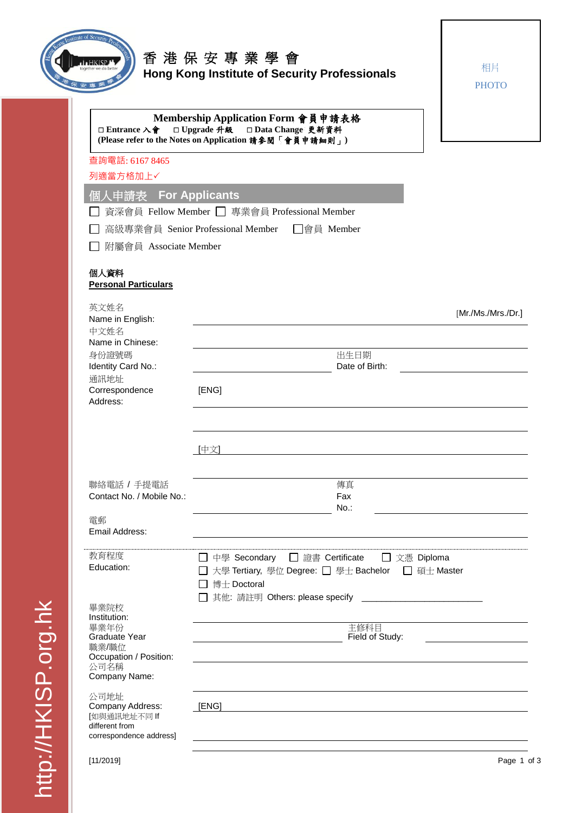

## **【HKBP】** 香 港 保 安 專 業 學 會 **Hong Kong Institute of Security Professionals**

相片 **PHOTO** 

| □ Entrance 入會                                              | Membership Application Form 會員申請表格<br>□ Upgrade 升級 □ Data Change 更新資料<br>(Please refer to the Notes on Application 請參閱「會員申請細則」)                         |  |  |  |  |
|------------------------------------------------------------|---------------------------------------------------------------------------------------------------------------------------------------------------------|--|--|--|--|
| 查詢電話: 6167 8465                                            |                                                                                                                                                         |  |  |  |  |
| 列適當方格加上√                                                   |                                                                                                                                                         |  |  |  |  |
| 個人申請表 For Applicants                                       |                                                                                                                                                         |  |  |  |  |
|                                                            | 資深會員 Fellow Member □ 專業會員 Professional Member                                                                                                           |  |  |  |  |
|                                                            | □會員 Member                                                                                                                                              |  |  |  |  |
| 高級專業會員 Senior Professional Member<br>附屬會員 Associate Member |                                                                                                                                                         |  |  |  |  |
|                                                            |                                                                                                                                                         |  |  |  |  |
| 個人資料<br><b>Personal Particulars</b>                        |                                                                                                                                                         |  |  |  |  |
| 英文姓名                                                       | [Mr/Ms./Mrs./Dr.]                                                                                                                                       |  |  |  |  |
| Name in English:<br>中文姓名                                   |                                                                                                                                                         |  |  |  |  |
| Name in Chinese:                                           |                                                                                                                                                         |  |  |  |  |
| 身份證號碼                                                      | 出生日期                                                                                                                                                    |  |  |  |  |
| Identity Card No.:<br>通訊地址                                 | Date of Birth:                                                                                                                                          |  |  |  |  |
| Correspondence                                             | [ENG]                                                                                                                                                   |  |  |  |  |
| Address:                                                   |                                                                                                                                                         |  |  |  |  |
|                                                            |                                                                                                                                                         |  |  |  |  |
|                                                            | [中文]                                                                                                                                                    |  |  |  |  |
|                                                            |                                                                                                                                                         |  |  |  |  |
| 聯絡電話 / 手提電話                                                | 傳真                                                                                                                                                      |  |  |  |  |
| Contact No. / Mobile No.:                                  | Fax                                                                                                                                                     |  |  |  |  |
| 電郵                                                         | $No.$ :                                                                                                                                                 |  |  |  |  |
| Email Address:                                             |                                                                                                                                                         |  |  |  |  |
| 教育程度                                                       | □ 證書 Certificate<br>中學 Secondary<br>□ 文憑 Diploma                                                                                                        |  |  |  |  |
| Education:                                                 | 大學 Tertiary, 學位 Degree: □ 學士 Bachelor<br>□ 碩士 Master                                                                                                    |  |  |  |  |
|                                                            | 博士 Doctoral                                                                                                                                             |  |  |  |  |
|                                                            | 其他: 請註明 Others: please specify<br><u> 1980 - Johann Harry Harry Harry Harry Harry Harry Harry Harry Harry Harry Harry Harry Harry Harry Harry Harry</u> |  |  |  |  |
| 畢業院校<br>Institution:                                       |                                                                                                                                                         |  |  |  |  |
| 畢業年份<br>Graduate Year                                      | 主修科目<br>Field of Study:                                                                                                                                 |  |  |  |  |
| 職業/職位                                                      |                                                                                                                                                         |  |  |  |  |
| Occupation / Position:<br>公司名稱<br>Company Name:            |                                                                                                                                                         |  |  |  |  |
| 公司地址                                                       |                                                                                                                                                         |  |  |  |  |
| Company Address:<br>[如與通訊地址不同 If                           | [ENG]                                                                                                                                                   |  |  |  |  |
| different from                                             |                                                                                                                                                         |  |  |  |  |
| correspondence address]                                    |                                                                                                                                                         |  |  |  |  |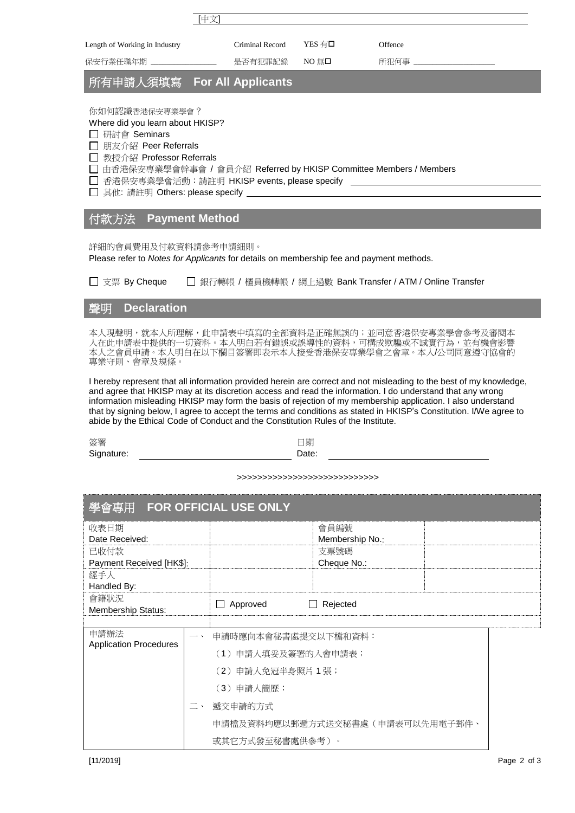|                               | (中文" |                 |                         |         |
|-------------------------------|------|-----------------|-------------------------|---------|
| Length of Working in Industry |      | Criminal Record | YES 有口                  | Offence |
| 保安行業任職年期                      |      | 是否有犯罪記錄         | NO $\hbox{\ssim}\,\Box$ | 所犯何事    |

## 所有申請人須填寫 **For All Applicants**

你如何認識香港保安專業學會?

Where did you learn about HKISP?

研討會 Seminars

□ 朋友介紹 Peer Referrals

□ 教授介紹 Professor Referrals

□ 由香港保安專業學會幹事會 / 會員介紹 Referred by HKISP Committee Members / Members

□ 香港保安專業學會活動:請註明 HKISP events, please specify \_

□ 其他: 請註明 Others: please specify

## 付款方法 **Payment Method**

詳細的會員費用及付款資料請參考申請細則。

Please refer to *Notes for Applicants* for details on membership fee and payment methods.

□ 支票 By Cheque □ 銀行轉帳 / 櫃員機轉帳 / 網上過數 Bank Transfer / ATM / Online Transfer

## 聲明 **Declaration**

本人現聲明,就本人所理解,此申請表中填寫的全部資料是正確無誤的;並同意香港保安專業學會參考及審閱本 人在此申請表中提供的一切資料。本人明白若有錯誤或誤導性的資料,可構成欺騙或不誠實行為,並有機會影響 本人之會員申請。本人明白在以下欄目簽署即表示本人接受香港保安專業學會之會章。本人/公司同意遵守協會的 專業守則、會章及規條。

I hereby represent that all information provided herein are correct and not misleading to the best of my knowledge, and agree that HKISP may at its discretion access and read the information. I do understand that any wrong information misleading HKISP may form the basis of rejection of my membership application. I also understand that by signing below, I agree to accept the terms and conditions as stated in HKISP's Constitution. I/We agree to abide by the Ethical Code of Conduct and the Constitution Rules of the Institute.

簽署 Signature: 日期 Date:

>>>>>>>>>>>>>>>>>>>>>>>>>>>>

| 學會專用 FOR OFFICIAL USE ONLY            |    |                                      |  |  |  |  |
|---------------------------------------|----|--------------------------------------|--|--|--|--|
| 收表日期                                  |    | 會員編號                                 |  |  |  |  |
| Date Received:                        |    | Membership No.:<br>支票號碼              |  |  |  |  |
| 已收付款<br>Payment Received [HK\$]:      |    | Cheque No.:                          |  |  |  |  |
| 經手人                                   |    |                                      |  |  |  |  |
| Handled By:                           |    |                                      |  |  |  |  |
| 會籍狀況<br>Membership Status:            |    | Approved<br>Rejected<br>$\mathsf{L}$ |  |  |  |  |
|                                       |    |                                      |  |  |  |  |
| 申請辦法<br><b>Application Procedures</b> |    | 申請時應向本會秘書處提交以下檔和資料:                  |  |  |  |  |
|                                       |    | (1)申請人填妥及簽署的入會申請表;                   |  |  |  |  |
|                                       |    | (2) 申請人免冠半身照片 1 張;                   |  |  |  |  |
|                                       |    | (3) 申請人簡歷;                           |  |  |  |  |
|                                       | 二、 | 遞交申請的方式                              |  |  |  |  |
|                                       |    | 申請檔及資料均應以郵遞方式送交秘書處(申請表可以先用電子郵件、      |  |  |  |  |
|                                       |    | 或其它方式發至秘書處供參考)。                      |  |  |  |  |